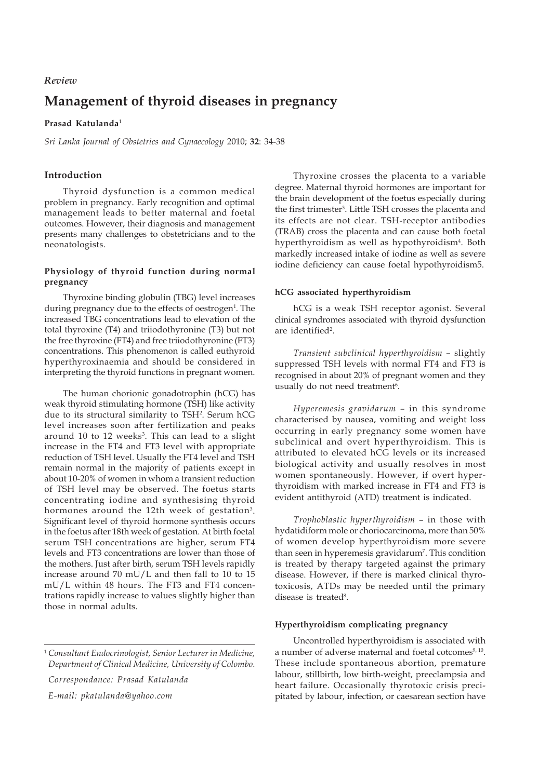# *Review*

# **Management of thyroid diseases in pregnancy**

## **Prasad Katulanda**<sup>1</sup>

*Sri Lanka Journal of Obstetrics and Gynaecology* 2010; **32**: 34-38

# **Introduction**

Thyroid dysfunction is a common medical problem in pregnancy. Early recognition and optimal management leads to better maternal and foetal outcomes. However, their diagnosis and management presents many challenges to obstetricians and to the neonatologists.

# **Physiology of thyroid function during normal pregnancy**

Thyroxine binding globulin (TBG) level increases during pregnancy due to the effects of oestrogen<sup>1</sup>. The increased TBG concentrations lead to elevation of the total thyroxine (T4) and triiodothyronine (T3) but not the free thyroxine (FT4) and free triiodothyronine (FT3) concentrations. This phenomenon is called euthyroid hyperthyroxinaemia and should be considered in interpreting the thyroid functions in pregnant women.

The human chorionic gonadotrophin (hCG) has weak thyroid stimulating hormone (TSH) like activity due to its structural similarity to TSH2 . Serum hCG level increases soon after fertilization and peaks around 10 to 12 weeks<sup>3</sup>. This can lead to a slight increase in the FT4 and FT3 level with appropriate reduction of TSH level. Usually the FT4 level and TSH remain normal in the majority of patients except in about 10-20% of women in whom a transient reduction of TSH level may be observed. The foetus starts concentrating iodine and synthesising thyroid hormones around the 12th week of gestation<sup>3</sup>. Significant level of thyroid hormone synthesis occurs in the foetus after 18th week of gestation. At birth foetal serum TSH concentrations are higher, serum FT4 levels and FT3 concentrations are lower than those of the mothers. Just after birth, serum TSH levels rapidly increase around 70 mU/L and then fall to 10 to 15 mU/L within 48 hours. The FT3 and FT4 concentrations rapidly increase to values slightly higher than those in normal adults.

 *E-mail: pkatulanda@yahoo.com*

Thyroxine crosses the placenta to a variable degree. Maternal thyroid hormones are important for the brain development of the foetus especially during the first trimester3 . Little TSH crosses the placenta and its effects are not clear. TSH-receptor antibodies (TRAB) cross the placenta and can cause both foetal hyperthyroidism as well as hypothyroidism<sup>4</sup>. Both markedly increased intake of iodine as well as severe iodine deficiency can cause foetal hypothyroidism5.

# **hCG associated hyperthyroidism**

hCG is a weak TSH receptor agonist. Several clinical syndromes associated with thyroid dysfunction are identified<sup>2</sup>.

*Transient subclinical hyperthyroidism* – slightly suppressed TSH levels with normal FT4 and FT3 is recognised in about 20% of pregnant women and they usually do not need treatment<sup>6</sup>.

*Hyperemesis gravidarum* – in this syndrome characterised by nausea, vomiting and weight loss occurring in early pregnancy some women have subclinical and overt hyperthyroidism. This is attributed to elevated hCG levels or its increased biological activity and usually resolves in most women spontaneously. However, if overt hyperthyroidism with marked increase in FT4 and FT3 is evident antithyroid (ATD) treatment is indicated.

*Trophoblastic hyperthyroidism* – in those with hydatidiform mole or choriocarcinoma, more than 50% of women develop hyperthyroidism more severe than seen in hyperemesis gravidarum<sup>7</sup>. This condition is treated by therapy targeted against the primary disease. However, if there is marked clinical thyrotoxicosis, ATDs may be needed until the primary disease is treated<sup>8</sup>.

# **Hyperthyroidism complicating pregnancy**

Uncontrolled hyperthyroidism is associated with a number of adverse maternal and foetal cotcomes<sup>9, 10</sup>. These include spontaneous abortion, premature labour, stillbirth, low birth-weight, preeclampsia and heart failure. Occasionally thyrotoxic crisis precipitated by labour, infection, or caesarean section have

<sup>1</sup>*Consultant Endocrinologist, Senior Lecturer in Medicine, Department of Clinical Medicine, University of Colombo.*

*Correspondance: Prasad Katulanda*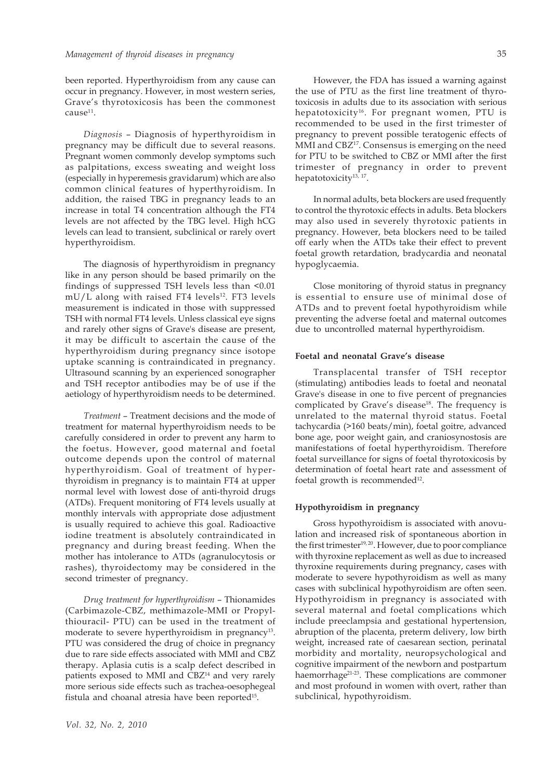been reported. Hyperthyroidism from any cause can occur in pregnancy. However, in most western series, Grave's thyrotoxicosis has been the commonest  $cause<sup>11</sup>$ .

*Diagnosis* – Diagnosis of hyperthyroidism in pregnancy may be difficult due to several reasons. Pregnant women commonly develop symptoms such as palpitations, excess sweating and weight loss (especially in hyperemesis gravidarum) which are also common clinical features of hyperthyroidism. In addition, the raised TBG in pregnancy leads to an increase in total T4 concentration although the FT4 levels are not affected by the TBG level. High hCG levels can lead to transient, subclinical or rarely overt hyperthyroidism.

The diagnosis of hyperthyroidism in pregnancy like in any person should be based primarily on the findings of suppressed TSH levels less than <0.01  $mU/L$  along with raised FT4 levels<sup>12</sup>. FT3 levels measurement is indicated in those with suppressed TSH with normal FT4 levels. Unless classical eye signs and rarely other signs of Grave's disease are present, it may be difficult to ascertain the cause of the hyperthyroidism during pregnancy since isotope uptake scanning is contraindicated in pregnancy. Ultrasound scanning by an experienced sonographer and TSH receptor antibodies may be of use if the aetiology of hyperthyroidism needs to be determined.

*Treatment* – Treatment decisions and the mode of treatment for maternal hyperthyroidism needs to be carefully considered in order to prevent any harm to the foetus. However, good maternal and foetal outcome depends upon the control of maternal hyperthyroidism. Goal of treatment of hyperthyroidism in pregnancy is to maintain FT4 at upper normal level with lowest dose of anti-thyroid drugs (ATDs). Frequent monitoring of FT4 levels usually at monthly intervals with appropriate dose adjustment is usually required to achieve this goal. Radioactive iodine treatment is absolutely contraindicated in pregnancy and during breast feeding. When the mother has intolerance to ATDs (agranulocytosis or rashes), thyroidectomy may be considered in the second trimester of pregnancy.

*Drug treatment for hyperthyroidism* – Thionamides (Carbimazole-CBZ, methimazole-MMI or Propylthiouracil- PTU) can be used in the treatment of moderate to severe hyperthyroidism in pregnancy<sup>13</sup>. PTU was considered the drug of choice in pregnancy due to rare side effects associated with MMI and CBZ therapy. Aplasia cutis is a scalp defect described in patients exposed to MMI and CBZ<sup>14</sup> and very rarely more serious side effects such as trachea-oesophegeal fistula and choanal atresia have been reported<sup>15</sup>.

However, the FDA has issued a warning against the use of PTU as the first line treatment of thyrotoxicosis in adults due to its association with serious hepatotoxicity<sup>16</sup>. For pregnant women, PTU is recommended to be used in the first trimester of pregnancy to prevent possible teratogenic effects of MMI and CBZ<sup>17</sup>. Consensus is emerging on the need for PTU to be switched to CBZ or MMI after the first trimester of pregnancy in order to prevent hepatotoxicity<sup>13, 17</sup>.

In normal adults, beta blockers are used frequently to control the thyrotoxic effects in adults. Beta blockers may also used in severely thyrotoxic patients in pregnancy. However, beta blockers need to be tailed off early when the ATDs take their effect to prevent foetal growth retardation, bradycardia and neonatal hypoglycaemia.

Close monitoring of thyroid status in pregnancy is essential to ensure use of minimal dose of ATDs and to prevent foetal hypothyroidism while preventing the adverse foetal and maternal outcomes due to uncontrolled maternal hyperthyroidism.

#### **Foetal and neonatal Grave's disease**

Transplacental transfer of TSH receptor (stimulating) antibodies leads to foetal and neonatal Grave's disease in one to five percent of pregnancies complicated by Grave's disease<sup>18</sup>. The frequency is unrelated to the maternal thyroid status. Foetal tachycardia (>160 beats/min), foetal goitre, advanced bone age, poor weight gain, and craniosynostosis are manifestations of foetal hyperthyroidism. Therefore foetal surveillance for signs of foetal thyrotoxicosis by determination of foetal heart rate and assessment of foetal growth is recommended $12$ .

#### **Hypothyroidism in pregnancy**

Gross hypothyroidism is associated with anovulation and increased risk of spontaneous abortion in the first trimester<sup>19, 20</sup>. However, due to poor compliance with thyroxine replacement as well as due to increased thyroxine requirements during pregnancy, cases with moderate to severe hypothyroidism as well as many cases with subclinical hypothyroidism are often seen. Hypothyroidism in pregnancy is associated with several maternal and foetal complications which include preeclampsia and gestational hypertension, abruption of the placenta, preterm delivery, low birth weight, increased rate of caesarean section, perinatal morbidity and mortality, neuropsychological and cognitive impairment of the newborn and postpartum haemorrhage<sup>21-23</sup>. These complications are commoner and most profound in women with overt, rather than subclinical, hypothyroidism.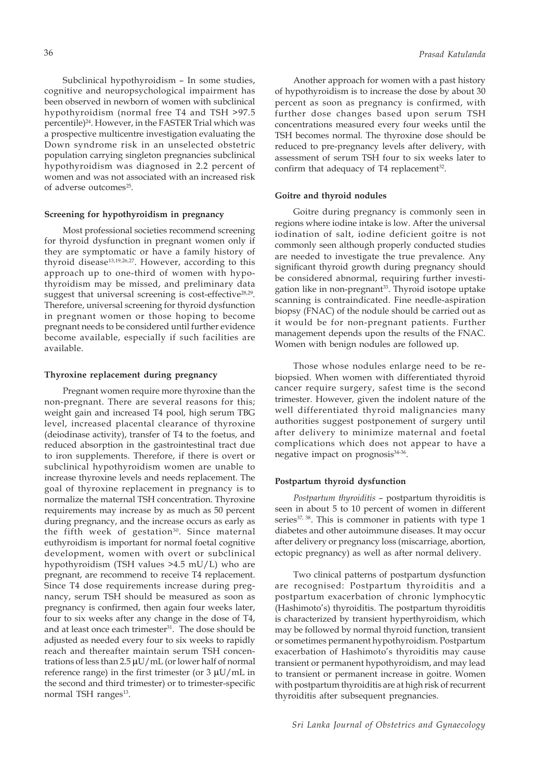Subclinical hypothyroidism – In some studies, cognitive and neuropsychological impairment has been observed in newborn of women with subclinical hypothyroidism (normal free T4 and TSH >97.5 percentile)24. However, in the FASTER Trial which was a prospective multicentre investigation evaluating the Down syndrome risk in an unselected obstetric population carrying singleton pregnancies subclinical hypothyroidism was diagnosed in 2.2 percent of women and was not associated with an increased risk of adverse outcomes<sup>25</sup>.

# **Screening for hypothyroidism in pregnancy**

Most professional societies recommend screening for thyroid dysfunction in pregnant women only if they are symptomatic or have a family history of thyroid disease<sup>13,19,26,27</sup>. However, according to this approach up to one-third of women with hypothyroidism may be missed, and preliminary data suggest that universal screening is cost-effective<sup>28,29</sup>. Therefore, universal screening for thyroid dysfunction in pregnant women or those hoping to become pregnant needs to be considered until further evidence become available, especially if such facilities are available.

#### **Thyroxine replacement during pregnancy**

Pregnant women require more thyroxine than the non-pregnant. There are several reasons for this; weight gain and increased T4 pool, high serum TBG level, increased placental clearance of thyroxine (deiodinase activity), transfer of T4 to the foetus, and reduced absorption in the gastrointestinal tract due to iron supplements. Therefore, if there is overt or subclinical hypothyroidism women are unable to increase thyroxine levels and needs replacement. The goal of thyroxine replacement in pregnancy is to normalize the maternal TSH concentration. Thyroxine requirements may increase by as much as 50 percent during pregnancy, and the increase occurs as early as the fifth week of gestation<sup>30</sup>. Since maternal euthyroidism is important for normal foetal cognitive development, women with overt or subclinical hypothyroidism (TSH values >4.5 mU/L) who are pregnant, are recommend to receive T4 replacement. Since T4 dose requirements increase during pregnancy, serum TSH should be measured as soon as pregnancy is confirmed, then again four weeks later, four to six weeks after any change in the dose of T4, and at least once each trimester<sup>31</sup>. The dose should be adjusted as needed every four to six weeks to rapidly reach and thereafter maintain serum TSH concentrations of less than 2.5 μU/mL (or lower half of normal reference range) in the first trimester (or 3 μU/mL in the second and third trimester) or to trimester-specific normal TSH ranges<sup>13</sup>.

Another approach for women with a past history of hypothyroidism is to increase the dose by about 30 percent as soon as pregnancy is confirmed, with further dose changes based upon serum TSH concentrations measured every four weeks until the TSH becomes normal. The thyroxine dose should be reduced to pre-pregnancy levels after delivery, with assessment of serum TSH four to six weeks later to confirm that adequacy of  $T4$  replacement<sup>32</sup>.

## **Goitre and thyroid nodules**

Goitre during pregnancy is commonly seen in regions where iodine intake is low. After the universal iodination of salt, iodine deficient goitre is not commonly seen although properly conducted studies are needed to investigate the true prevalence. Any significant thyroid growth during pregnancy should be considered abnormal, requiring further investigation like in non-pregnant<sup>33</sup>. Thyroid isotope uptake scanning is contraindicated. Fine needle-aspiration biopsy (FNAC) of the nodule should be carried out as it would be for non-pregnant patients. Further management depends upon the results of the FNAC. Women with benign nodules are followed up.

Those whose nodules enlarge need to be rebiopsied. When women with differentiated thyroid cancer require surgery, safest time is the second trimester. However, given the indolent nature of the well differentiated thyroid malignancies many authorities suggest postponement of surgery until after delivery to minimize maternal and foetal complications which does not appear to have a negative impact on prognosis<sup>34-36</sup>.

## **Postpartum thyroid dysfunction**

*Postpartum thyroiditis* – postpartum thyroiditis is seen in about 5 to 10 percent of women in different series<sup>37, 38</sup>. This is commoner in patients with type 1 diabetes and other autoimmune diseases. It may occur after delivery or pregnancy loss (miscarriage, abortion, ectopic pregnancy) as well as after normal delivery.

Two clinical patterns of postpartum dysfunction are recognised: Postpartum thyroiditis and a postpartum exacerbation of chronic lymphocytic (Hashimoto's) thyroiditis. The postpartum thyroiditis is characterized by transient hyperthyroidism, which may be followed by normal thyroid function, transient or sometimes permanent hypothyroidism. Postpartum exacerbation of Hashimoto's thyroiditis may cause transient or permanent hypothyroidism, and may lead to transient or permanent increase in goitre. Women with postpartum thyroiditis are at high risk of recurrent thyroiditis after subsequent pregnancies.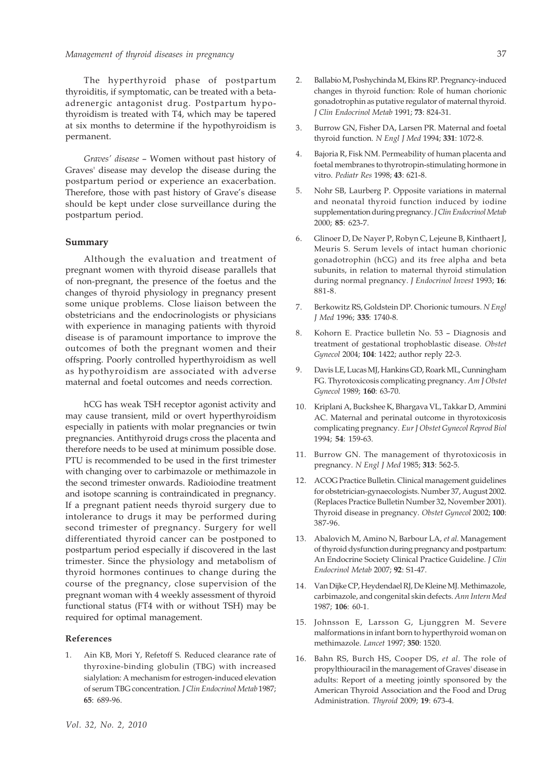## *Management of thyroid diseases in pregnancy*

The hyperthyroid phase of postpartum thyroiditis, if symptomatic, can be treated with a betaadrenergic antagonist drug. Postpartum hypothyroidism is treated with T4, which may be tapered at six months to determine if the hypothyroidism is permanent.

*Graves' disease* – Women without past history of Graves' disease may develop the disease during the postpartum period or experience an exacerbation. Therefore, those with past history of Grave's disease should be kept under close surveillance during the postpartum period.

# **Summary**

Although the evaluation and treatment of pregnant women with thyroid disease parallels that of non-pregnant, the presence of the foetus and the changes of thyroid physiology in pregnancy present some unique problems. Close liaison between the obstetricians and the endocrinologists or physicians with experience in managing patients with thyroid disease is of paramount importance to improve the outcomes of both the pregnant women and their offspring. Poorly controlled hyperthyroidism as well as hypothyroidism are associated with adverse maternal and foetal outcomes and needs correction.

hCG has weak TSH receptor agonist activity and may cause transient, mild or overt hyperthyroidism especially in patients with molar pregnancies or twin pregnancies. Antithyroid drugs cross the placenta and therefore needs to be used at minimum possible dose. PTU is recommended to be used in the first trimester with changing over to carbimazole or methimazole in the second trimester onwards. Radioiodine treatment and isotope scanning is contraindicated in pregnancy. If a pregnant patient needs thyroid surgery due to intolerance to drugs it may be performed during second trimester of pregnancy. Surgery for well differentiated thyroid cancer can be postponed to postpartum period especially if discovered in the last trimester. Since the physiology and metabolism of thyroid hormones continues to change during the course of the pregnancy, close supervision of the pregnant woman with 4 weekly assessment of thyroid functional status (FT4 with or without TSH) may be required for optimal management.

## **References**

1. Ain KB, Mori Y, Refetoff S. Reduced clearance rate of thyroxine-binding globulin (TBG) with increased sialylation: A mechanism for estrogen-induced elevation of serum TBG concentration. *J Clin Endocrinol Metab* 1987; **65**: 689-96.

- 2. Ballabio M, Poshychinda M, Ekins RP. Pregnancy-induced changes in thyroid function: Role of human chorionic gonadotrophin as putative regulator of maternal thyroid. *J Clin Endocrinol Metab* 1991; **73**: 824-31.
- 3. Burrow GN, Fisher DA, Larsen PR. Maternal and foetal thyroid function. *N Engl J Med* 1994; **331**: 1072-8.
- 4. Bajoria R, Fisk NM. Permeability of human placenta and foetal membranes to thyrotropin-stimulating hormone in vitro. *Pediatr Res* 1998; **43**: 621-8.
- 5. Nohr SB, Laurberg P. Opposite variations in maternal and neonatal thyroid function induced by iodine supplementation during pregnancy. *J Clin Endocrinol Metab* 2000; **85**: 623-7.
- 6. Glinoer D, De Nayer P, Robyn C, Lejeune B, Kinthaert J, Meuris S. Serum levels of intact human chorionic gonadotrophin (hCG) and its free alpha and beta subunits, in relation to maternal thyroid stimulation during normal pregnancy. *J Endocrinol Invest* 1993; **16**: 881-8.
- 7. Berkowitz RS, Goldstein DP. Chorionic tumours. *N Engl J Med* 1996; **335**: 1740-8.
- 8. Kohorn E. Practice bulletin No. 53 Diagnosis and treatment of gestational trophoblastic disease. *Obstet Gynecol* 2004; **104**: 1422; author reply 22-3.
- 9. Davis LE, Lucas MJ, Hankins GD, Roark ML, Cunningham FG. Thyrotoxicosis complicating pregnancy. *Am J Obstet Gynecol* 1989; **160**: 63-70.
- 10. Kriplani A, Buckshee K, Bhargava VL, Takkar D, Ammini AC. Maternal and perinatal outcome in thyrotoxicosis complicating pregnancy. *Eur J Obstet Gynecol Reprod Biol* 1994; **54**: 159-63.
- 11. Burrow GN. The management of thyrotoxicosis in pregnancy. *N Engl J Med* 1985; **313**: 562-5.
- 12. ACOG Practice Bulletin. Clinical management guidelines for obstetrician-gynaecologists. Number 37, August 2002. (Replaces Practice Bulletin Number 32, November 2001). Thyroid disease in pregnancy. *Obstet Gynecol* 2002; **100**: 387-96.
- 13. Abalovich M, Amino N, Barbour LA, *et al*. Management of thyroid dysfunction during pregnancy and postpartum: An Endocrine Society Clinical Practice Guideline. *J Clin Endocrinol Metab* 2007; **92**: S1-47.
- 14. Van Dijke CP, Heydendael RJ, De Kleine MJ. Methimazole, carbimazole, and congenital skin defects. *Ann Intern Med* 1987; **106**: 60-1.
- 15. Johnsson E, Larsson G, Ljunggren M. Severe malformations in infant born to hyperthyroid woman on methimazole. *Lancet* 1997; **350**: 1520.
- 16. Bahn RS, Burch HS, Cooper DS, *et al*. The role of propylthiouracil in the management of Graves' disease in adults: Report of a meeting jointly sponsored by the American Thyroid Association and the Food and Drug Administration. *Thyroid* 2009; **19**: 673-4.